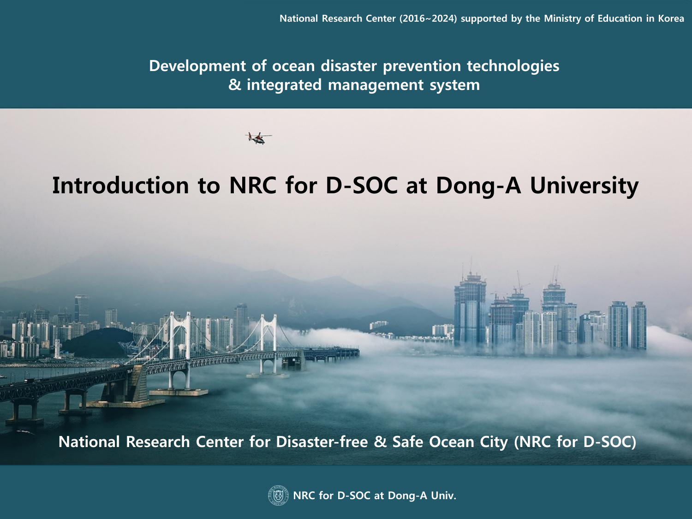**Development of ocean disaster prevention technologies & integrated management system**

# **Introduction to NRC for D-SOC at Dong-A University**

**National Research Center for Disaster-free & Safe Ocean City (NRC for D-SOC)**



**NRC for D-SOC at Dong-A Univ.**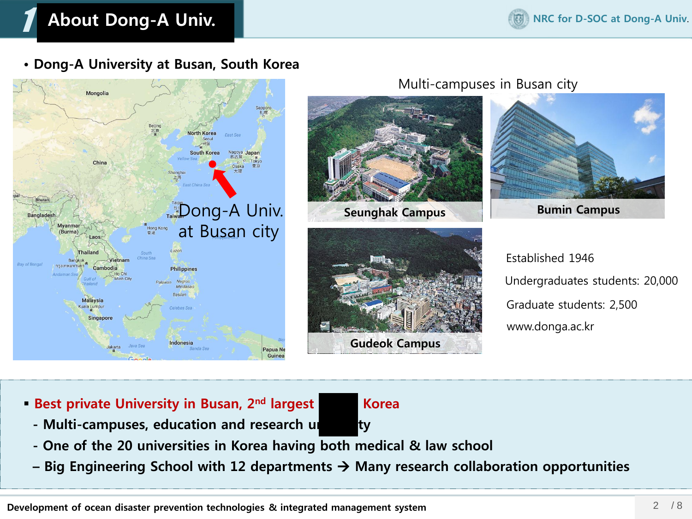# 1 **About Dong-A Univ.**

**• Dong-A University at Busan, South Korea**



- **Best private University in Busan, 2<sup>nd</sup> largest Korea** 
	- **-** Multi-campuses, education and research university
	- **- One of the 20 universities in Korea having both medical & law school**
	- **– Big Engineering School with 12 departments Many research collaboration opportunities**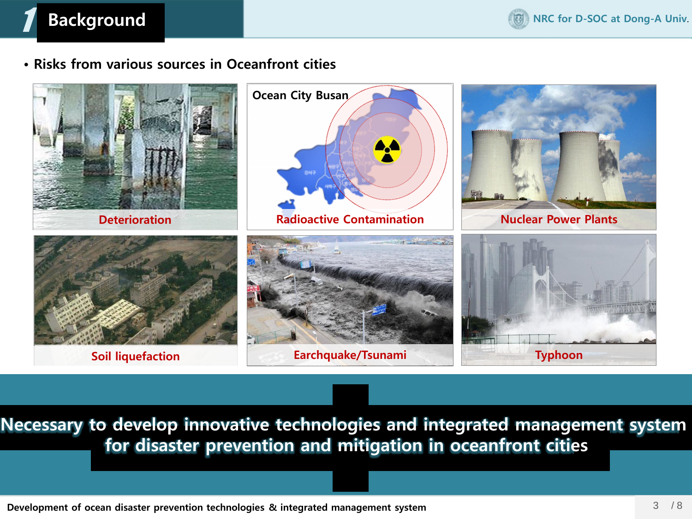# **Background**

1

**• Risks from various sources in Oceanfront cities**



 **해양건설∙방재 통합관리시스템 구축 Example 12 For disaster prevention and mitigation in oceanfront cities Necessary to develop innovative technologies and integrated management system** 

**- 해안성 재해(태풍, 지진, 쓰나미 등), 해안성 열화인자(염해, 중성화), 연안매립, 해안오염 (방사능 확산) 등**

 **- 해양 특수구조물 진단, 해양지반 분석, 다중해양재난 위험도 분석, 재난대응 도시방재 기술개발**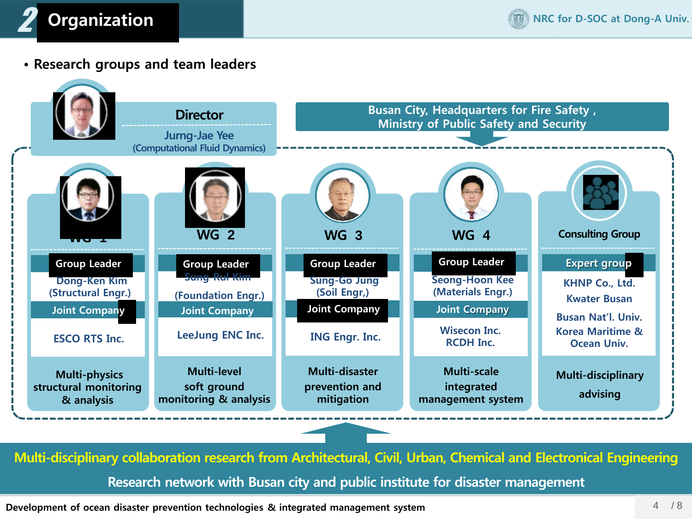

**• Research groups and team leaders**



**Multi-disciplinary collaboration research from Architectural, Civil, Urban, Chemical and Electronical Engineering Research network with Busan city and public institute for disaster management**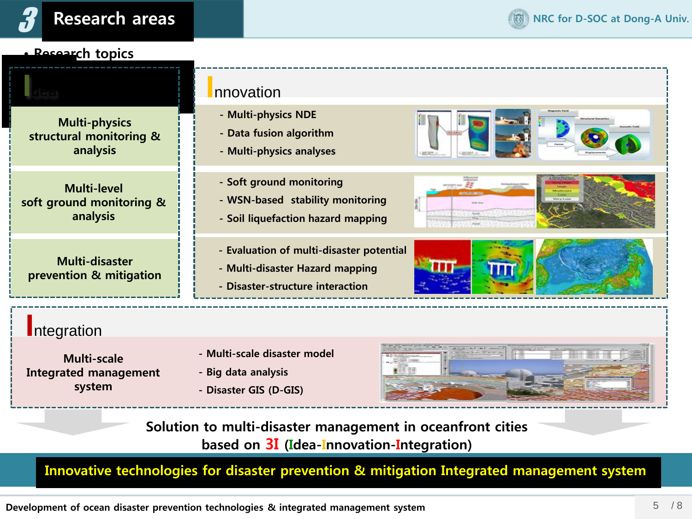

### **• Research topics**

**Multi-physics structural monitoring & analysis**

**Multi-level soft ground monitoring & analysis**

**Multi-disaster prevention & mitigation**

# **I**dea **I**nnovation

- **- Multi-physics NDE**
- **- Data fusion algorithm**
- **- Multi-physics analyses**
- **- Soft ground monitoring**
- **- WSN-based stability monitoring**
- **- Soil liquefaction hazard mapping**
- **- Evaluation of multi-disaster potential**
- **- Multi-disaster Hazard mapping**
- **- Disaster-structure interaction**







### **I**ntegration

**Multi-scale Integrated management system**

- **- Multi-scale disaster model**
- **- Big data analysis**
- **- Disaster GIS (D-GIS)**



**Solution to multi-disaster management in oceanfront cities based on 3I (Idea-Innovation-Integration)**

**Innovative technologies for disaster prevention & mitigation Integrated management system**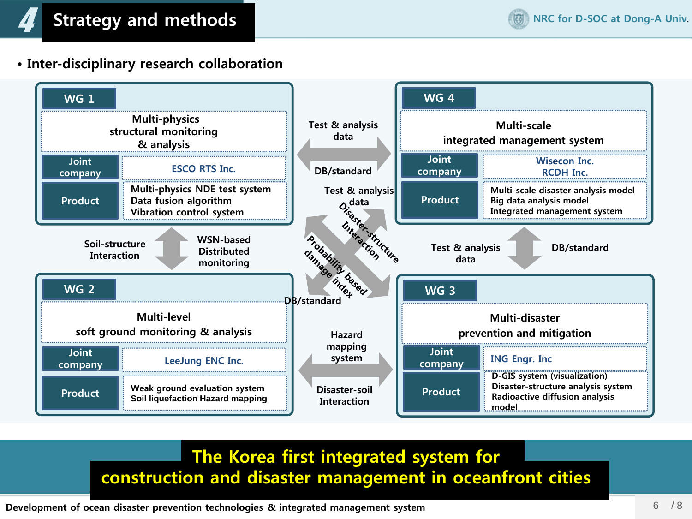**• Inter-disciplinary research collaboration**



## **The Korea first integrated system for construction and disaster management in oceanfront cities**

**Development of ocean disaster prevention technologies & integrated management system**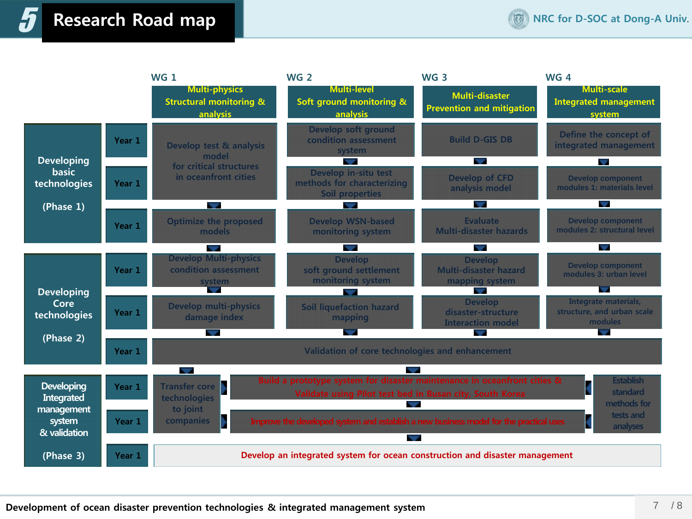# 5 **Research Road map**